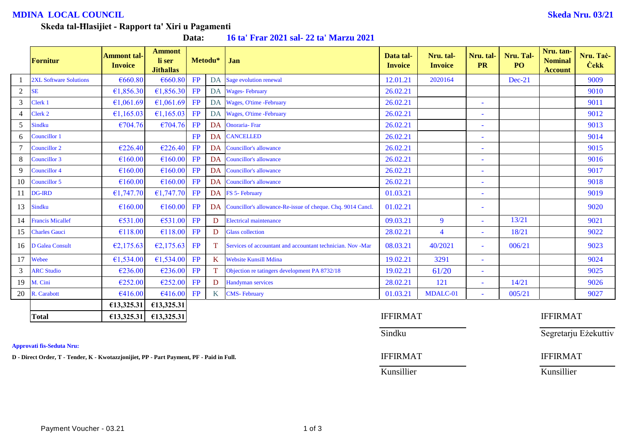# **MDINA LOCAL COUNCIL Skeda Nru. 03/21**

#### **Skeda tal-Ħlasijiet - Rapport ta' Xiri u Pagamenti**

**Data: 16 ta' Frar 2021 sal- 22 ta' Marzu 2021**

|                | Fornitur                      | <b>Ammont</b> tal-<br><b>Invoice</b> | <b>Ammont</b><br>li ser<br><b>Jithallas</b> |           | Metodu* | Jan                                                            | Data tal-<br><b>Invoice</b> | Nru. tal-<br><b>Invoice</b> | Nru. tal-<br><b>PR</b> | Nru. Tal-<br>PO | Nru. tan-<br><b>Nominal</b><br><b>Account</b> | Nru. Tač-<br><b>Cekk</b> |
|----------------|-------------------------------|--------------------------------------|---------------------------------------------|-----------|---------|----------------------------------------------------------------|-----------------------------|-----------------------------|------------------------|-----------------|-----------------------------------------------|--------------------------|
|                | <b>2XL Software Solutions</b> | €660.80                              | €660.80                                     | FP        |         | DA Sage evolution renewal                                      | 12.01.21                    | 2020164                     |                        | Dec-21          |                                               | 9009                     |
| $\overline{2}$ | <b>SE</b>                     | €1,856.30                            | €1,856.30                                   | FP        |         | DA Wages-February                                              | 26.02.21                    |                             |                        |                 |                                               | 9010                     |
| 3              | Clerk 1                       | €1,061.69                            | €1,061.69                                   | FP        |         | DA Wages, O'time -February                                     | 26.02.21                    |                             |                        |                 |                                               | 9011                     |
| $\overline{4}$ | Clerk 2                       | €1,165.03                            | £1,165.03                                   | FP        |         | DA Wages, O'time -February                                     | 26.02.21                    |                             |                        |                 |                                               | 9012                     |
| 5              | <b>Sindku</b>                 | €704.76                              | €704.76                                     | FP        |         | DA Onoraria-Fran                                               | 26.02.21                    |                             |                        |                 |                                               | 9013                     |
| 6              | Councillor 1                  |                                      |                                             | FP        |         | <b>DA CANCELLED</b>                                            | 26.02.21                    |                             |                        |                 |                                               | 9014                     |
| $\overline{7}$ | Councillor 2                  | €226.40                              | €226.40                                     | FP        |         | DA Councillor's allowance                                      | 26.02.21                    |                             |                        |                 |                                               | 9015                     |
| 8              | Councillor 3                  | €160.00                              | €160.00                                     | FP        |         | DA Councillor's allowance                                      | 26.02.21                    |                             |                        |                 |                                               | 9016                     |
| 9              | <b>Councillor 4</b>           | €160.00                              | €160.00                                     | FP        |         | DA Councillor's allowance                                      | 26.02.21                    |                             |                        |                 |                                               | 9017                     |
| 10             | Councillor 5                  | €160.00                              | €160.00                                     | FP        |         | DA Councillor's allowance                                      | 26.02.21                    |                             |                        |                 |                                               | 9018                     |
| 11             | <b>DG-IRD</b>                 | €1,747.70                            | £1,747.70                                   | FP        |         | DA FS 5- February                                              | 01.03.21                    |                             |                        |                 |                                               | 9019                     |
| 13             | <b>Sindku</b>                 | €160.00                              | E160.00                                     | FP        |         | DA Councillor's allowance-Re-issue of cheque. Chq. 9014 Cancl. | 01.02.21                    |                             |                        |                 |                                               | 9020                     |
| 14             | <b>Francis Micallef</b>       | €531.00                              | €531.00                                     | FP        | D       | <b>Electrical maintenance</b>                                  | 09.03.21                    | 9                           |                        | 13/21           |                                               | 9021                     |
| 15             | <b>Charles Gauci</b>          | €118.00                              | €118.00                                     | <b>FP</b> | D       | <b>Glass collection</b>                                        | 28.02.21                    | $\overline{4}$              | $\sim$                 | 18/21           |                                               | 9022                     |
| 16             | D Galea Consult               | €2,175.63                            | E2,175.63                                   | FP        | T.      | Services of accountant and accountant technician. Nov -Mar     | 08.03.21                    | 40/2021                     | $\sim$                 | 006/21          |                                               | 9023                     |
| 17             | Webee                         | €1,534.00                            | €1,534.00                                   | FP        | K       | <b>Website Kunsill Mdina</b>                                   | 19.02.21                    | 3291                        | $\sim$                 |                 |                                               | 9024                     |
| $\mathfrak{Z}$ | <b>ARC Studio</b>             | €236.00                              | €236.00                                     | FP        |         | Objection re tatingers development PA 8732/18                  | 19.02.21                    | 61/20                       | $\sim$                 |                 |                                               | 9025                     |
| 19             | M. Cini                       | €252.00                              | €252.00                                     | FP        | D       | Handyman services                                              | 28.02.21                    | 121                         | $\sim$                 | 14/21           |                                               | 9026                     |
| 20             | R. Carabott                   | €416.00                              | €416.00                                     | FP        | K       | <b>CMS-February</b>                                            | 01.03.21                    | MDALC-01                    | $\sim$                 | 005/21          |                                               | 9027                     |
|                |                               | €13,325.31                           | €13,325.31                                  |           |         |                                                                |                             |                             |                        |                 |                                               |                          |
|                | <b>Total</b>                  | €13,325.31                           | £13,325.31                                  |           |         |                                                                | <b>IFFIRMAT</b>             |                             |                        |                 | <b>IFFIRMAT</b>                               |                          |

**Approvati fis-Seduta Nru:**

**D** - Direct Order, T - Tender, K - Kwotazzjonijiet, PP - Part Payment, PF - Paid in Full. **IFFIRMAT** IFFIRMAT IFFIRMAT

Sindku Segretarju Eżekuttiv

Kunsillier Kunsillier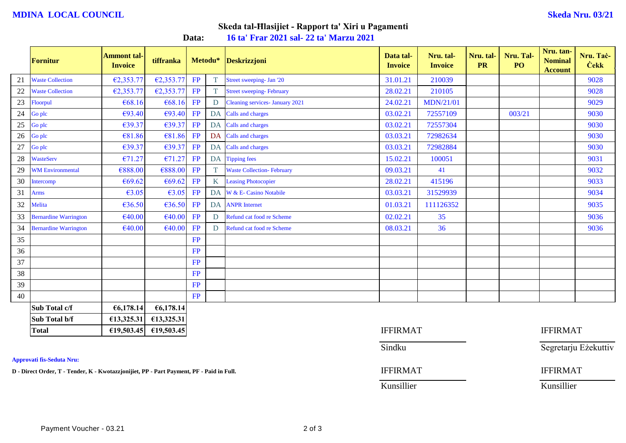# **MDINA LOCAL COUNCIL Skeda Nru. 03/21**

# **Skeda tal-Ħlasijiet - Rapport ta' Xiri u Pagamenti**

**Data: 16 ta' Frar 2021 sal- 22 ta' Marzu 2021**

|    | Fornitur                     | <b>Ammont tal-</b><br><b>Invoice</b> | tiffranka  |           | Metodu* | Deskrizzjoni                      | Data tal-<br><b>Invoice</b> | Nru. tal-<br><b>Invoice</b> | Nru. tal-<br><b>PR</b> | Nru. Tal-<br>PO | Nru. tan-<br><b>Nominal</b><br><b>Account</b> | Nru. Tač-<br><b>Cekk</b> |
|----|------------------------------|--------------------------------------|------------|-----------|---------|-----------------------------------|-----------------------------|-----------------------------|------------------------|-----------------|-----------------------------------------------|--------------------------|
| 21 | <b>Waste Collection</b>      | €2,353.77                            | €2,353.77  | FP        | T.      | Street sweeping- Jan '20          | 31.01.21                    | 210039                      |                        |                 |                                               | 9028                     |
| 22 | <b>Waste Collection</b>      | €2,353.77                            | E2,353.77  | FP        | T.      | <b>Street sweeping-February</b>   | 28.02.21                    | 210105                      |                        |                 |                                               | 9028                     |
| 23 | Floorpul                     | €68.16                               | €68.16     | FP        | D       | Cleaning services- January 2021   | 24.02.21                    | <b>MDN/21/01</b>            |                        |                 |                                               | 9029                     |
| 24 | Go plc                       | €93.40                               | €93.40     | <b>FP</b> | DA      | Calls and charges                 | 03.02.21                    | 72557109                    |                        | 003/21          |                                               | 9030                     |
| 25 | Go plc                       | €39.37                               | €39.37     | FP        |         | DA Calls and charges              | 03.02.21                    | 72557304                    |                        |                 |                                               | 9030                     |
| 26 | Go plc                       | €81.86                               | €81.86     | <b>FP</b> | DA      | Calls and charges                 | 03.03.21                    | 72982634                    |                        |                 |                                               | 9030                     |
| 27 | Go plc                       | €39.37                               | €39.37     | FP        |         | DA Calls and charges              | 03.03.21                    | 72982884                    |                        |                 |                                               | 9030                     |
| 28 | <b>WasteServ</b>             | €71.27                               | €71.27     | FP        |         | DA Tipping fees                   | 15.02.21                    | 100051                      |                        |                 |                                               | 9031                     |
| 29 | <b>WM Environmental</b>      | €888.00                              | €888.00    | FP        | T.      | <b>Waste Collection- February</b> | 09.03.21                    | 41                          |                        |                 |                                               | 9032                     |
| 30 | Intercomp                    | €69.62                               | €69.62     | <b>FP</b> | K.      | <b>Leasing Photocopier</b>        | 28.02.21                    | 415196                      |                        |                 |                                               | 9033                     |
| 31 | <b>Arms</b>                  | €3.05                                | €3.05      | FP        | DA      | W & E- Casino Notabile            | 03.03.21                    | 31529939                    |                        |                 |                                               | 9034                     |
| 32 | Melita                       | €36.50                               | €36.50     | FP        |         | <b>DA</b> ANPR Internet           | 01.03.21                    | 111126352                   |                        |                 |                                               | 9035                     |
| 33 | <b>Bernardine Warrington</b> | €40.00                               | €40.00     | FP        | D       | Refund cat food re Scheme         | 02.02.21                    | 35                          |                        |                 |                                               | 9036                     |
| 34 | <b>Bernardine Warrington</b> | €40.00                               | €40.00     | FP        | D       | Refund cat food re Scheme         | 08.03.21                    | 36                          |                        |                 |                                               | 9036                     |
| 35 |                              |                                      |            | FP        |         |                                   |                             |                             |                        |                 |                                               |                          |
| 36 |                              |                                      |            | FP        |         |                                   |                             |                             |                        |                 |                                               |                          |
| 37 |                              |                                      |            | <b>FP</b> |         |                                   |                             |                             |                        |                 |                                               |                          |
| 38 |                              |                                      |            | <b>FP</b> |         |                                   |                             |                             |                        |                 |                                               |                          |
| 39 |                              |                                      |            | <b>FP</b> |         |                                   |                             |                             |                        |                 |                                               |                          |
| 40 |                              |                                      |            | <b>FP</b> |         |                                   |                             |                             |                        |                 |                                               |                          |
|    | Sub Total c/f                | €6,178.14                            | €6,178.14  |           |         |                                   |                             |                             |                        |                 |                                               |                          |
|    | Sub Total b/f                | £13,325.31                           | €13,325.31 |           |         |                                   |                             |                             |                        |                 |                                               |                          |

**Approvati fis-Seduta Nru:**

**D** - Direct Order, T - Tender, K - Kwotazzjonijiet, PP - Part Payment, PF - Paid in Full. **IFFIRMAT** IFFIRMAT

**Total €19,503.45 €19,503.45** IFFIRMAT IFFIRMAT

Sindku Sindku Segretarju Eżekuttiv

Kunsillier Kunsillier